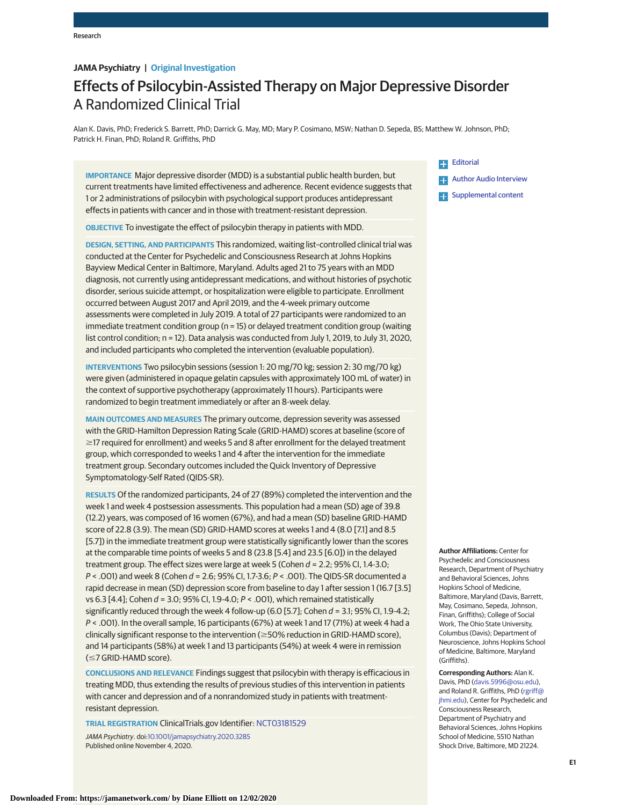# **JAMA Psychiatry | Original Investigation**

# Effects of Psilocybin-Assisted Therapy on Major Depressive Disorder A Randomized Clinical Trial

Alan K. Davis, PhD; Frederick S. Barrett, PhD; Darrick G. May, MD; Mary P. Cosimano, MSW; Nathan D. Sepeda, BS; Matthew W. Johnson, PhD; Patrick H. Finan, PhD; Roland R. Griffiths, PhD

**IMPORTANCE** Major depressive disorder (MDD) is a substantial public health burden, but current treatments have limited effectiveness and adherence. Recent evidence suggests that 1 or 2 administrations of psilocybin with psychological support produces antidepressant effects in patients with cancer and in those with treatment-resistant depression.

**OBJECTIVE** To investigate the effect of psilocybin therapy in patients with MDD.

**DESIGN, SETTING, AND PARTICIPANTS** This randomized, waiting list–controlled clinical trial was conducted at the Center for Psychedelic and Consciousness Research at Johns Hopkins Bayview Medical Center in Baltimore, Maryland. Adults aged 21 to 75 years with an MDD diagnosis, not currently using antidepressant medications, and without histories of psychotic disorder, serious suicide attempt, or hospitalization were eligible to participate. Enrollment occurred between August 2017 and April 2019, and the 4-week primary outcome assessments were completed in July 2019. A total of 27 participants were randomized to an immediate treatment condition group ( $n = 15$ ) or delayed treatment condition group (waiting list control condition; n = 12). Data analysis was conducted from July 1, 2019, to July 31, 2020, and included participants who completed the intervention (evaluable population).

**INTERVENTIONS** Two psilocybin sessions (session 1: 20 mg/70 kg; session 2: 30 mg/70 kg) were given (administered in opaque gelatin capsules with approximately 100 mL of water) in the context of supportive psychotherapy (approximately 11 hours). Participants were randomized to begin treatment immediately or after an 8-week delay.

**MAIN OUTCOMES AND MEASURES** The primary outcome, depression severity was assessed with the GRID-Hamilton Depression Rating Scale (GRID-HAMD) scores at baseline (score of  $\geq$ 17 required for enrollment) and weeks 5 and 8 after enrollment for the delayed treatment group, which corresponded to weeks 1 and 4 after the intervention for the immediate treatment group. Secondary outcomes included the Quick Inventory of Depressive Symptomatology-Self Rated (QIDS-SR).

**RESULTS** Of the randomized participants, 24 of 27 (89%) completed the intervention and the week 1 and week 4 postsession assessments. This population had a mean (SD) age of 39.8 (12.2) years, was composed of 16 women (67%), and had a mean (SD) baseline GRID-HAMD score of 22.8 (3.9). The mean (SD) GRID-HAMD scores at weeks 1 and 4 (8.0 [7.1] and 8.5 [5.7]) in the immediate treatment group were statistically significantly lower than the scores at the comparable time points of weeks 5 and 8 (23.8 [5.4] and 23.5 [6.0]) in the delayed treatment group. The effect sizes were large at week 5 (Cohen  $d = 2.2$ ; 95% CI, 1.4-3.0;  $P <$  .001) and week 8 (Cohen  $d = 2.6$ ; 95% CI, 1.7-3.6;  $P <$  .001). The QIDS-SR documented a rapid decrease in mean (SD) depression score from baseline to day 1 after session 1 (16.7 [3.5] vs 6.3 [4.4]; Cohen d = 3.0; 95% CI, 1.9-4.0; P < .001), which remained statistically significantly reduced through the week 4 follow-up (6.0 [5.7]; Cohen  $d = 3.1$ ; 95% CI, 1.9-4.2; P < .001). In the overall sample, 16 participants (67%) at week 1 and 17 (71%) at week 4 had a clinically significant response to the intervention ( $\geq$ 50% reduction in GRID-HAMD score), and 14 participants (58%) at week 1 and 13 participants (54%) at week 4 were in remission (≤7 GRID-HAMD score).

**CONCLUSIONS AND RELEVANCE** Findings suggest that psilocybin with therapy is efficacious in treating MDD, thus extending the results of previous studies of this intervention in patients with cancer and depression and of a nonrandomized study in patients with treatmentresistant depression.

**TRIAL REGISTRATION** ClinicalTrials.gov Identifier: [NCT03181529](https://clinicaltrials.gov/ct2/results?cond=&term=NCT03181529&cntry=&state=&city=&dist=) JAMA Psychiatry. doi[:10.1001/jamapsychiatry.2020.3285](https://jamanetwork.com/journals/jama/fullarticle/10.1001/jamapsychiatry.2020.3285?utm_campaign=articlePDF%26utm_medium=articlePDFlink%26utm_source=articlePDF%26utm_content=jamapsychiatry.2020.3285)

Published online November 4, 2020.

**[Editorial](https://jamanetwork.com/journals/jama/fullarticle/10.1001/jamapsychiatry.2020.2901?utm_campaign=articlePDF%26utm_medium=articlePDFlink%26utm_source=articlePDF%26utm_content=jamapsychiatry.2020.3285) Example 2 [Author Audio Interview](https://jamanetwork.com/learning/audio-player/10.1001/jamapsychiatry.2020.3299?utm_campaign=articlePDF%26utm_medium=articlePDFlink%26utm_source=articlePDF%26utm_content=jamapsychiatry.2020.3285) Examplemental content** 

**Author Affiliations:** Center for Psychedelic and Consciousness Research, Department of Psychiatry and Behavioral Sciences, Johns Hopkins School of Medicine, Baltimore, Maryland (Davis, Barrett, May, Cosimano, Sepeda, Johnson, Finan, Griffiths); College of Social Work, The Ohio State University, Columbus (Davis); Department of Neuroscience, Johns Hopkins School of Medicine, Baltimore, Maryland (Griffiths).

**Corresponding Authors:** Alan K. Davis, PhD [\(davis.5996@osu.edu\)](mailto:davis.5996@osu.edu), and Roland R. Griffiths, PhD [\(rgriff@](mailto:rgriff@jhmi.edu) [jhmi.edu\)](mailto:rgriff@jhmi.edu), Center for Psychedelic and Consciousness Research, Department of Psychiatry and Behavioral Sciences, Johns Hopkins School of Medicine, 5510 Nathan Shock Drive, Baltimore, MD 21224.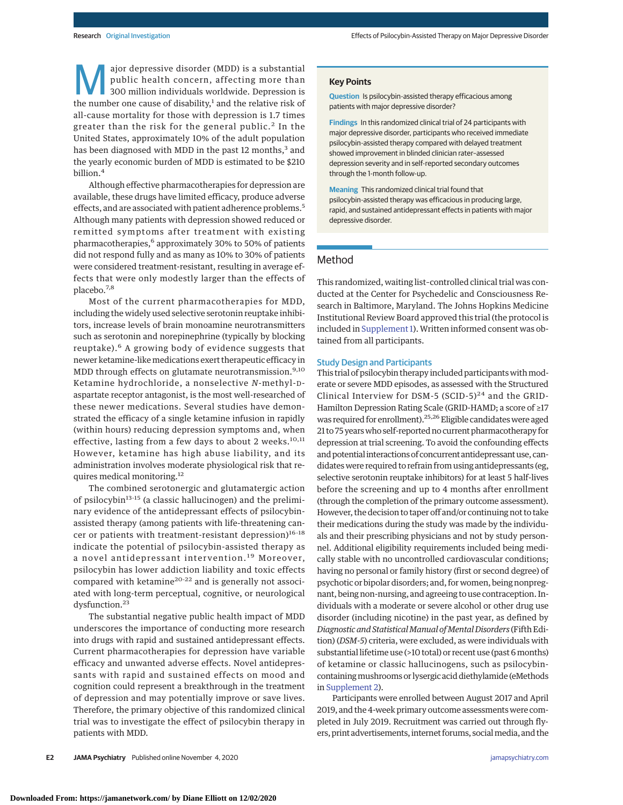ajor depressive disorder (MDD) is a substantial public health concern, affecting more than 300 million individuals worldwide. Depression is the number one cause of disability, $1$  and the relative risk of all-cause mortality for those with depression is 1.7 times greater than the risk for the general public.<sup>2</sup> In the United States, approximately 10% of the adult population has been diagnosed with MDD in the past 12 months,<sup>3</sup> and the yearly economic burden of MDD is estimated to be \$210 billion.<sup>4</sup>

Although effective pharmacotherapies for depression are available, these drugs have limited efficacy, produce adverse effects, and are associated with patient adherence problems.<sup>5</sup> Although many patients with depression showed reduced or remitted symptoms after treatment with existing pharmacotherapies,<sup>6</sup> approximately 30% to 50% of patients did not respond fully and as many as 10% to 30% of patients were considered treatment-resistant, resulting in average effects that were only modestly larger than the effects of placebo.7,8

Most of the current pharmacotherapies for MDD, including the widely used selective serotonin reuptake inhibitors, increase levels of brain monoamine neurotransmitters such as serotonin and norepinephrine (typically by blocking reuptake).<sup>6</sup> A growing body of evidence suggests that newer ketamine-like medications exert therapeutic efficacy in MDD through effects on glutamate neurotransmission.<sup>9,10</sup> Ketamine hydrochloride, a nonselective *N*-methyl-Daspartate receptor antagonist, is the most well-researched of these newer medications. Several studies have demonstrated the efficacy of a single ketamine infusion in rapidly (within hours) reducing depression symptoms and, when effective, lasting from a few days to about 2 weeks.<sup>10,11</sup> However, ketamine has high abuse liability, and its administration involves moderate physiological risk that requires medical monitoring.<sup>12</sup>

The combined serotonergic and glutamatergic action of psilocybin<sup>13-15</sup> (a classic hallucinogen) and the preliminary evidence of the antidepressant effects of psilocybinassisted therapy (among patients with life-threatening cancer or patients with treatment-resistant depression)<sup>16-18</sup> indicate the potential of psilocybin-assisted therapy as a novel antidepressant intervention.<sup>19</sup> Moreover, psilocybin has lower addiction liability and toxic effects compared with ketamine<sup>20-22</sup> and is generally not associated with long-term perceptual, cognitive, or neurological dysfunction.<sup>23</sup>

The substantial negative public health impact of MDD underscores the importance of conducting more research into drugs with rapid and sustained antidepressant effects. Current pharmacotherapies for depression have variable efficacy and unwanted adverse effects. Novel antidepressants with rapid and sustained effects on mood and cognition could represent a breakthrough in the treatment of depression and may potentially improve or save lives. Therefore, the primary objective of this randomized clinical trial was to investigate the effect of psilocybin therapy in patients with MDD.

#### **Key Points**

**Question** Is psilocybin-assisted therapy efficacious among patients with major depressive disorder?

**Findings** In this randomized clinical trial of 24 participants with major depressive disorder, participants who received immediate psilocybin-assisted therapy compared with delayed treatment showed improvement in blinded clinician rater–assessed depression severity and in self-reported secondary outcomes through the 1-month follow-up.

**Meaning** This randomized clinical trial found that psilocybin-assisted therapy was efficacious in producing large, rapid, and sustained antidepressant effects in patients with major depressive disorder.

# Method

This randomized, waiting list–controlled clinical trial was conducted at the Center for Psychedelic and Consciousness Research in Baltimore, Maryland. The Johns Hopkins Medicine Institutional Review Board approved this trial (the protocol is included in [Supplement 1\)](https://jamanetwork.com/journals/jama/fullarticle/10.1001/jamapsychiatry.2020.3285?utm_campaign=articlePDF%26utm_medium=articlePDFlink%26utm_source=articlePDF%26utm_content=jamapsychiatry.2020.3285). Written informed consent was obtained from all participants.

# Study Design and Participants

This trial of psilocybin therapy included participants with moderate or severe MDD episodes, as assessed with the Structured Clinical Interview for DSM-5 (SCID-5)<sup>24</sup> and the GRID-Hamilton Depression Rating Scale (GRID-HAMD; a score of ≥17 was required for enrollment).<sup>25,26</sup> Eligible candidates were aged 21 to 75 years who self-reported no current pharmacotherapy for depression at trial screening. To avoid the confounding effects and potential interactions of concurrent antidepressant use, candidates were required to refrain from using antidepressants (eg, selective serotonin reuptake inhibitors) for at least 5 half-lives before the screening and up to 4 months after enrollment (through the completion of the primary outcome assessment). However, the decision to taper off and/or continuing not to take their medications during the study was made by the individuals and their prescribing physicians and not by study personnel. Additional eligibility requirements included being medically stable with no uncontrolled cardiovascular conditions; having no personal or family history (first or second degree) of psychotic or bipolar disorders; and, for women, being nonpregnant, being non-nursing, and agreeing to use contraception. Individuals with a moderate or severe alcohol or other drug use disorder (including nicotine) in the past year, as defined by *Diagnostic and StatisticalManual ofMental Disorders* (Fifth Edition) (*DSM-5*) criteria, were excluded, as were individuals with substantial lifetime use (>10 total) or recent use (past 6 months) of ketamine or classic hallucinogens, such as psilocybincontainingmushrooms or lysergic acid diethylamide (eMethods in [Supplement 2\)](https://jamanetwork.com/journals/jama/fullarticle/10.1001/jamapsychiatry.2020.3285?utm_campaign=articlePDF%26utm_medium=articlePDFlink%26utm_source=articlePDF%26utm_content=jamapsychiatry.2020.3285).

Participants were enrolled between August 2017 and April 2019, and the 4-week primary outcome assessments were completed in July 2019. Recruitment was carried out through flyers, print advertisements, internet forums, social media, and the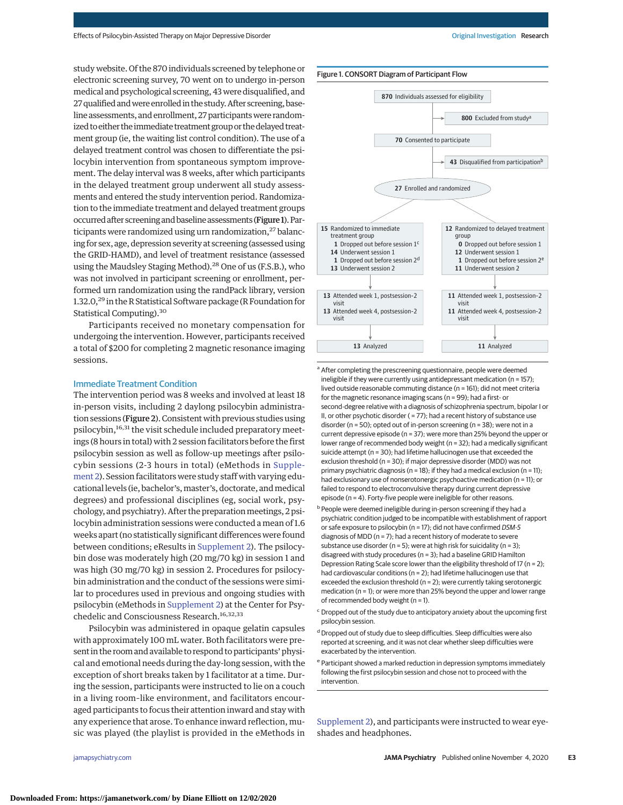study website. Of the 870 individuals screened by telephone or electronic screening survey, 70 went on to undergo in-person medical and psychological screening, 43 were disqualified, and 27qualified andwere enrolled in the study. After screening, baseline assessments, and enrollment, 27 participants were randomized to either the immediate treatment group or the delayed treatment group (ie, the waiting list control condition). The use of a delayed treatment control was chosen to differentiate the psilocybin intervention from spontaneous symptom improvement. The delay interval was 8 weeks, after which participants in the delayed treatment group underwent all study assessments and entered the study intervention period. Randomization to the immediate treatment and delayed treatment groups occurred after screening andbaseline assessments (Figure 1).Participants were randomized using urn randomization,<sup>27</sup> balancing for sex, age, depression severity at screening (assessed using the GRID-HAMD), and level of treatment resistance (assessed using the Maudsley Staging Method).<sup>28</sup> One of us (F.S.B.), who was not involved in participant screening or enrollment, performed urn randomization using the randPack library, version 1.32.0,<sup>29</sup> in the R Statistical Software package (R Foundation for Statistical Computing).30

Participants received no monetary compensation for undergoing the intervention. However, participants received a total of \$200 for completing 2 magnetic resonance imaging sessions.

## Immediate Treatment Condition

The intervention period was 8 weeks and involved at least 18 in-person visits, including 2 daylong psilocybin administration sessions (Figure 2). Consistent with previous studies using psilocybin,<sup>16,31</sup> the visit schedule included preparatory meetings (8 hours in total) with 2 session facilitators before the first psilocybin session as well as follow-up meetings after psilocybin sessions (2-3 hours in total) (eMethods in [Supple](https://jamanetwork.com/journals/jama/fullarticle/10.1001/jamapsychiatry.2020.3285?utm_campaign=articlePDF%26utm_medium=articlePDFlink%26utm_source=articlePDF%26utm_content=jamapsychiatry.2020.3285)[ment 2\)](https://jamanetwork.com/journals/jama/fullarticle/10.1001/jamapsychiatry.2020.3285?utm_campaign=articlePDF%26utm_medium=articlePDFlink%26utm_source=articlePDF%26utm_content=jamapsychiatry.2020.3285). Session facilitators were study staff with varying educational levels (ie, bachelor's, master's, doctorate, and medical degrees) and professional disciplines (eg, social work, psychology, and psychiatry). After the preparation meetings, 2 psilocybin administration sessions were conducted a mean of 1.6 weeks apart (no statistically significant differences were found between conditions; eResults in [Supplement 2\)](https://jamanetwork.com/journals/jama/fullarticle/10.1001/jamapsychiatry.2020.3285?utm_campaign=articlePDF%26utm_medium=articlePDFlink%26utm_source=articlePDF%26utm_content=jamapsychiatry.2020.3285). The psilocybin dose was moderately high (20 mg/70 kg) in session 1 and was high (30 mg/70 kg) in session 2. Procedures for psilocybin administration and the conduct of the sessions were similar to procedures used in previous and ongoing studies with psilocybin (eMethods in [Supplement 2\)](https://jamanetwork.com/journals/jama/fullarticle/10.1001/jamapsychiatry.2020.3285?utm_campaign=articlePDF%26utm_medium=articlePDFlink%26utm_source=articlePDF%26utm_content=jamapsychiatry.2020.3285) at the Center for Psychedelic and Consciousness Research.<sup>16,32,33</sup>

Psilocybin was administered in opaque gelatin capsules with approximately 100 mL water. Both facilitators were present in the room and available to respond to participants' physical and emotional needs during the day-long session, with the exception of short breaks taken by 1 facilitator at a time. During the session, participants were instructed to lie on a couch in a living room–like environment, and facilitators encouraged participants to focus their attention inward and stay with any experience that arose. To enhance inward reflection, music was played (the playlist is provided in the eMethods in



<sup>a</sup> After completing the prescreening questionnaire, people were deemed ineligible if they were currently using antidepressant medication (n = 157); lived outside reasonable commuting distance (n = 161); did not meet criteria for the magnetic resonance imaging scans (n = 99); had a first- or second-degree relative with a diagnosis of schizophrenia spectrum, bipolar I or II, or other psychotic disorder ( = 77); had a recent history of substance use disorder (n = 50); opted out of in-person screening (n = 38); were not in a current depressive episode (n = 37); were more than 25% beyond the upper or lower range of recommended body weight (n = 32); had a medically significant suicide attempt (n = 30); had lifetime hallucinogen use that exceeded the exclusion threshold (n = 30); if major depressive disorder (MDD) was not primary psychiatric diagnosis (n = 18); if they had a medical exclusion (n = 11); had exclusionary use of nonserotonergic psychoactive medication (n = 11); or failed to respond to electroconvulsive therapy during current depressive episode (n = 4). Forty-five people were ineligible for other reasons.

- People were deemed ineligible during in-person screening if they had a psychiatric condition judged to be incompatible with establishment of rapport or safe exposure to psilocybin (n = 17); did not have confirmed DSM-5 diagnosis of MDD (n = 7); had a recent history of moderate to severe substance use disorder ( $n = 5$ ); were at high risk for suicidality ( $n = 3$ ); disagreed with study procedures (n = 3); had a baseline GRID Hamilton Depression Rating Scale score lower than the eligibility threshold of 17 (n = 2); had cardiovascular conditions (n = 2); had lifetime hallucinogen use that exceeded the exclusion threshold ( $n = 2$ ); were currently taking serotonergic medication (n = 1); or were more than 25% beyond the upper and lower range of recommended body weight (n = 1).
- $\epsilon$  Dropped out of the study due to anticipatory anxiety about the upcoming first psilocybin session.
- <sup>d</sup> Dropped out of study due to sleep difficulties. Sleep difficulties were also reported at screening, and it was not clear whether sleep difficulties were exacerbated by the intervention.
- <sup>e</sup> Participant showed a marked reduction in depression symptoms immediately following the first psilocybin session and chose not to proceed with the intervention.

[Supplement 2\)](https://jamanetwork.com/journals/jama/fullarticle/10.1001/jamapsychiatry.2020.3285?utm_campaign=articlePDF%26utm_medium=articlePDFlink%26utm_source=articlePDF%26utm_content=jamapsychiatry.2020.3285), and participants were instructed to wear eyeshades and headphones.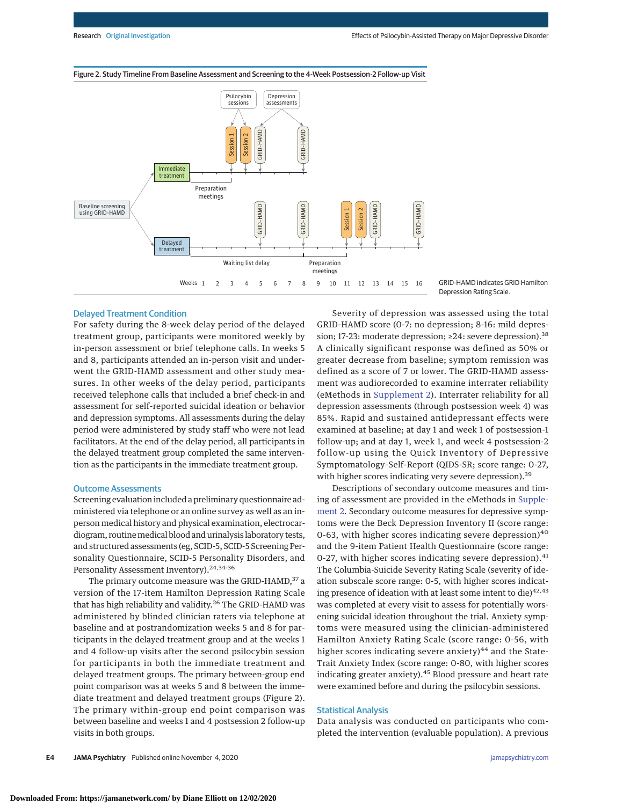

#### Figure 2. Study Timeline From Baseline Assessment and Screening to the 4-Week Postsession-2 Follow-up Visit



# Delayed Treatment Condition

For safety during the 8-week delay period of the delayed treatment group, participants were monitored weekly by in-person assessment or brief telephone calls. In weeks 5 and 8, participants attended an in-person visit and underwent the GRID-HAMD assessment and other study measures. In other weeks of the delay period, participants received telephone calls that included a brief check-in and assessment for self-reported suicidal ideation or behavior and depression symptoms. All assessments during the delay period were administered by study staff who were not lead facilitators. At the end of the delay period, all participants in the delayed treatment group completed the same intervention as the participants in the immediate treatment group.

#### Outcome Assessments

Screening evaluation included a preliminary questionnaire administered via telephone or an online survey as well as an inperson medical history and physical examination, electrocardiogram, routinemedical blood and urinalysis laboratory tests, and structured assessments (eg, SCID-5, SCID-5 Screening Personality Questionnaire, SCID-5 Personality Disorders, and Personality Assessment Inventory).<sup>24,34-36</sup>

The primary outcome measure was the GRID-HAMD,<sup>37</sup> a version of the 17-item Hamilton Depression Rating Scale that has high reliability and validity.<sup>26</sup> The GRID-HAMD was administered by blinded clinician raters via telephone at baseline and at postrandomization weeks 5 and 8 for participants in the delayed treatment group and at the weeks 1 and 4 follow-up visits after the second psilocybin session for participants in both the immediate treatment and delayed treatment groups. The primary between-group end point comparison was at weeks 5 and 8 between the immediate treatment and delayed treatment groups (Figure 2). The primary within-group end point comparison was between baseline and weeks 1 and 4 postsession 2 follow-up visits in both groups.

Severity of depression was assessed using the total GRID-HAMD score (0-7: no depression; 8-16: mild depression; 17-23: moderate depression; ≥24: severe depression).<sup>38</sup> A clinically significant response was defined as 50% or greater decrease from baseline; symptom remission was defined as a score of 7 or lower. The GRID-HAMD assessment was audiorecorded to examine interrater reliability (eMethods in [Supplement 2\)](https://jamanetwork.com/journals/jama/fullarticle/10.1001/jamapsychiatry.2020.3285?utm_campaign=articlePDF%26utm_medium=articlePDFlink%26utm_source=articlePDF%26utm_content=jamapsychiatry.2020.3285). Interrater reliability for all depression assessments (through postsession week 4) was 85%. Rapid and sustained antidepressant effects were examined at baseline; at day 1 and week 1 of postsession-1 follow-up; and at day 1, week 1, and week 4 postsession-2 follow-up using the Quick Inventory of Depressive Symptomatology–Self-Report (QIDS-SR; score range: 0-27, with higher scores indicating very severe depression).<sup>39</sup>

Descriptions of secondary outcome measures and timing of assessment are provided in the eMethods in [Supple](https://jamanetwork.com/journals/jama/fullarticle/10.1001/jamapsychiatry.2020.3285?utm_campaign=articlePDF%26utm_medium=articlePDFlink%26utm_source=articlePDF%26utm_content=jamapsychiatry.2020.3285)[ment 2.](https://jamanetwork.com/journals/jama/fullarticle/10.1001/jamapsychiatry.2020.3285?utm_campaign=articlePDF%26utm_medium=articlePDFlink%26utm_source=articlePDF%26utm_content=jamapsychiatry.2020.3285) Secondary outcome measures for depressive symptoms were the Beck Depression Inventory II (score range: 0-63, with higher scores indicating severe depression) $40$ and the 9-item Patient Health Questionnaire (score range: 0-27, with higher scores indicating severe depression). $41$ The Columbia-Suicide Severity Rating Scale (severity of ideation subscale score range: 0-5, with higher scores indicating presence of ideation with at least some intent to die) $42,43$ was completed at every visit to assess for potentially worsening suicidal ideation throughout the trial. Anxiety symptoms were measured using the clinician-administered Hamilton Anxiety Rating Scale (score range: 0-56, with higher scores indicating severe anxiety) $44$  and the State-Trait Anxiety Index (score range: 0-80, with higher scores indicating greater anxiety).<sup>45</sup> Blood pressure and heart rate were examined before and during the psilocybin sessions.

### Statistical Analysis

Data analysis was conducted on participants who completed the intervention (evaluable population). A previous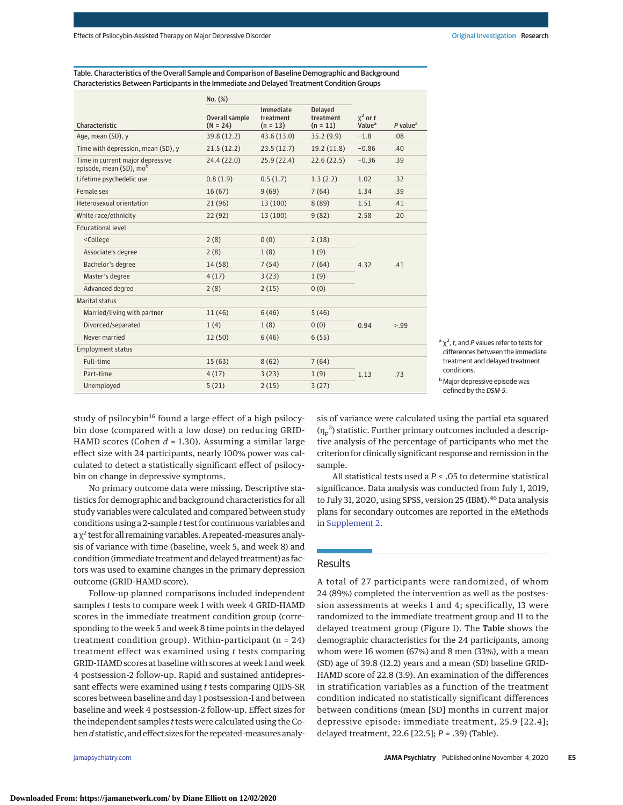Table. Characteristics of the Overall Sample and Comparison of Baseline Demographic and Background Characteristics Between Participants in the Immediate and Delayed Treatment Condition Groups

|                                                                                                                      | No. (%)                             |                                      |                                           |                                  |                        |
|----------------------------------------------------------------------------------------------------------------------|-------------------------------------|--------------------------------------|-------------------------------------------|----------------------------------|------------------------|
| Characteristic                                                                                                       | <b>Overall sample</b><br>$(N = 24)$ | Immediate<br>treatment<br>$(n = 13)$ | <b>Delayed</b><br>treatment<br>$(n = 11)$ | $x^2$ or t<br>Value <sup>a</sup> | $P$ value <sup>a</sup> |
| Age, mean (SD), y                                                                                                    | 39.8 (12.2)                         | 43.6 (13.0)                          | 35.2(9.9)                                 | $-1.8$                           | .08                    |
| Time with depression, mean (SD), y                                                                                   | 21.5(12.2)                          | 23.5(12.7)                           | 19.2(11.8)                                | $-0.86$                          | .40                    |
| Time in current major depressive<br>episode, mean (SD), mob                                                          | 24.4 (22.0)                         | 25.9 (22.4)                          | 22.6(22.5)                                | $-0.36$                          | .39                    |
| Lifetime psychedelic use                                                                                             | 0.8(1.9)                            | 0.5(1.7)                             | 1.3(2.2)                                  | 1.02                             | .32                    |
| Female sex                                                                                                           | 16(67)                              | 9(69)                                | 7(64)                                     | 1.34                             | .39                    |
| Heterosexual orientation                                                                                             | 21(96)                              | 13 (100)                             | 8(89)                                     | 1.51                             | .41                    |
| White race/ethnicity                                                                                                 | 22(92)                              | 13 (100)                             | 9(82)                                     | 2.58                             | .20                    |
| <b>Educational level</b>                                                                                             |                                     |                                      |                                           |                                  |                        |
| <college< td=""><td>2(8)</td><td>0(0)</td><td>2(18)</td><td rowspan="5">4.32</td><td rowspan="5">.41</td></college<> | 2(8)                                | 0(0)                                 | 2(18)                                     | 4.32                             | .41                    |
| Associate's degree                                                                                                   | 2(8)                                | 1(8)                                 | 1(9)                                      |                                  |                        |
| Bachelor's degree                                                                                                    | 14(58)                              | 7(54)                                | 7(64)                                     |                                  |                        |
| Master's degree                                                                                                      | 4(17)                               | 3(23)                                | 1(9)                                      |                                  |                        |
| Advanced degree                                                                                                      | 2(8)                                | 2(15)                                | 0(0)                                      |                                  |                        |
| Marital status                                                                                                       |                                     |                                      |                                           |                                  |                        |
| Married/living with partner                                                                                          | 11(46)                              | 6(46)                                | 5(46)                                     | 0.94                             | > 99                   |
| Divorced/separated                                                                                                   | 1(4)                                | 1(8)                                 | 0(0)                                      |                                  |                        |
| Never married                                                                                                        | 12(50)                              | 6(46)                                | 6(55)                                     |                                  |                        |
| <b>Employment status</b>                                                                                             |                                     |                                      |                                           |                                  |                        |
| Full-time                                                                                                            | 15(63)                              | 8(62)                                | 7(64)                                     | 1.13                             | .73                    |
| Part-time                                                                                                            | 4(17)                               | 3(23)                                | 1(9)                                      |                                  |                        |
| Unemployed                                                                                                           | 5(21)                               | 2(15)                                | 3(27)                                     |                                  |                        |

 $a \chi^2$ , t, and P values refer to tests for differences between the immediate treatment and delayed treatment conditions.

study of psilocybin<sup>16</sup> found a large effect of a high psilocybin dose (compared with a low dose) on reducing GRID-HAMD scores (Cohen *d* = 1.30). Assuming a similar large effect size with 24 participants, nearly 100% power was calculated to detect a statistically significant effect of psilocybin on change in depressive symptoms.

No primary outcome data were missing. Descriptive statistics for demographic and background characteristics for all study variables were calculated and compared between study conditions using a 2-sample *t*test for continuous variables and  $a \chi^2$  test for all remaining variables. A repeated-measures analysis of variance with time (baseline, week 5, and week 8) and condition (immediate treatment and delayed treatment) as factors was used to examine changes in the primary depression outcome (GRID-HAMD score).

Follow-up planned comparisons included independent samples *t* tests to compare week 1 with week 4 GRID-HAMD scores in the immediate treatment condition group (corresponding to the week 5 and week 8 time points in the delayed treatment condition group). Within-participant ( $n = 24$ ) treatment effect was examined using *t* tests comparing GRID-HAMD scores at baseline with scores at week 1 and week 4 postsession-2 follow-up. Rapid and sustained antidepressant effects were examined using *t* tests comparing QIDS-SR scores between baseline and day 1 postsession-1 and between baseline and week 4 postsession-2 follow-up. Effect sizes for the independent samples *t*tests were calculated using the Cohen*d*statistic, and effect sizes for the repeated-measures analysis of variance were calculated using the partial eta squared  $(\eta_p^2)$  statistic. Further primary outcomes included a descriptive analysis of the percentage of participants who met the criterion for clinically significant response and remission in the sample.

All statistical tests used a *P* < .05 to determine statistical significance. Data analysis was conducted from July 1, 2019, to July 31, 2020, using SPSS, version 25 (IBM).<sup>46</sup> Data analysis plans for secondary outcomes are reported in the eMethods in [Supplement 2.](https://jamanetwork.com/journals/jama/fullarticle/10.1001/jamapsychiatry.2020.3285?utm_campaign=articlePDF%26utm_medium=articlePDFlink%26utm_source=articlePDF%26utm_content=jamapsychiatry.2020.3285)

# Results

A total of 27 participants were randomized, of whom 24 (89%) completed the intervention as well as the postsession assessments at weeks 1 and 4; specifically, 13 were randomized to the immediate treatment group and 11 to the delayed treatment group (Figure 1). The Table shows the demographic characteristics for the 24 participants, among whom were 16 women (67%) and 8 men (33%), with a mean (SD) age of 39.8 (12.2) years and a mean (SD) baseline GRID-HAMD score of 22.8 (3.9). An examination of the differences in stratification variables as a function of the treatment condition indicated no statistically significant differences between conditions (mean [SD] months in current major depressive episode: immediate treatment, 25.9 [22.4]; delayed treatment, 22.6 [22.5]; *P* = .39) (Table).

bMajor depressive episode was defined by the DSM-5.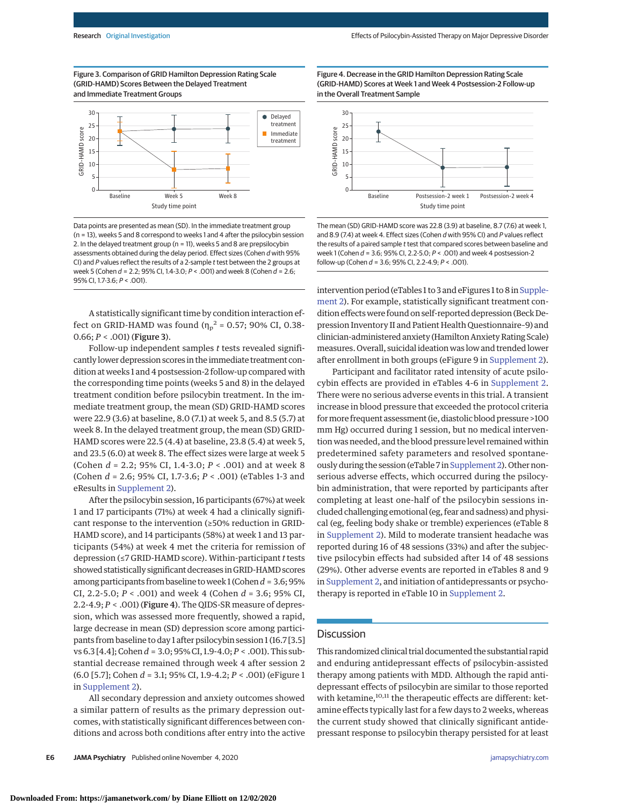Figure 3. Comparison of GRID Hamilton Depression Rating Scale (GRID-HAMD) Scores Between the Delayed Treatment and Immediate Treatment Groups



Data points are presented as mean (SD). In the immediate treatment group (n = 13), weeks 5 and 8 correspond to weeks 1 and 4 after the psilocybin session 2. In the delayed treatment group (n = 11), weeks 5 and 8 are prepsilocybin assessments obtained during the delay period. Effect sizes (Cohen d with 95% CI) and P values reflect the results of a 2-sample t test between the 2 groups at week 5 (Cohen d = 2.2; 95% CI, 1.4-3.0; P < .001) and week 8 (Cohen d = 2.6; 95% CI, 1.7-3.6; P < .001).

A statistically significant time by condition interaction effect on GRID-HAMD was found  $(\eta_p^2 = 0.57; 90\% \text{ CI}, 0.38-$ 0.66; *P* < .001) (Figure 3).

Follow-up independent samples *t* tests revealed significantly lower depression scores in the immediate treatment condition at weeks 1 and 4 postsession-2 follow-up compared with the corresponding time points (weeks 5 and 8) in the delayed treatment condition before psilocybin treatment. In the immediate treatment group, the mean (SD) GRID-HAMD scores were 22.9 (3.6) at baseline, 8.0 (7.1) at week 5, and 8.5 (5.7) at week 8. In the delayed treatment group, the mean (SD) GRID-HAMD scores were 22.5 (4.4) at baseline, 23.8 (5.4) at week 5, and 23.5 (6.0) at week 8. The effect sizes were large at week 5 (Cohen *d* = 2.2; 95% CI, 1.4-3.0; *P* < .001) and at week 8 (Cohen *d* = 2.6; 95% CI, 1.7-3.6; *P* < .001) (eTables 1-3 and eResults in [Supplement 2\)](https://jamanetwork.com/journals/jama/fullarticle/10.1001/jamapsychiatry.2020.3285?utm_campaign=articlePDF%26utm_medium=articlePDFlink%26utm_source=articlePDF%26utm_content=jamapsychiatry.2020.3285).

After the psilocybin session, 16 participants (67%) at week 1 and 17 participants (71%) at week 4 had a clinically significant response to the intervention (≥50% reduction in GRID-HAMD score), and 14 participants (58%) at week 1 and 13 participants (54%) at week 4 met the criteria for remission of depression (≤7 GRID-HAMD score). Within-participant *t* tests showed statistically significant decreases in GRID-HAMD scores among participants from baseline toweek 1 (Cohen*d* = 3.6; 95% CI, 2.2-5.0; *P* < .001) and week 4 (Cohen *d* = 3.6; 95% CI, 2.2-4.9; *P* < .001) (Figure 4). The QIDS-SR measure of depression, which was assessed more frequently, showed a rapid, large decrease in mean (SD) depression score among participants from baseline to day 1 after psilocybin session 1 (16.7 [3.5] vs 6.3 [4.4]; Cohen*d* = 3.0; 95% CI, 1.9-4.0; *P* < .001). This substantial decrease remained through week 4 after session 2 (6.0 [5.7]; Cohen *d* = 3.1; 95% CI, 1.9-4.2; *P* < .001) (eFigure 1 in [Supplement 2\)](https://jamanetwork.com/journals/jama/fullarticle/10.1001/jamapsychiatry.2020.3285?utm_campaign=articlePDF%26utm_medium=articlePDFlink%26utm_source=articlePDF%26utm_content=jamapsychiatry.2020.3285).

All secondary depression and anxiety outcomes showed a similar pattern of results as the primary depression outcomes, with statistically significant differences between conditions and across both conditions after entry into the active Figure 4. Decrease in the GRID Hamilton Depression Rating Scale (GRID-HAMD) Scores at Week 1 and Week 4 Postsession-2 Follow-up in the Overall Treatment Sample



The mean (SD) GRID-HAMD score was 22.8 (3.9) at baseline, 8.7 (7.6) at week 1, and 8.9 (7.4) at week 4. Effect sizes (Cohen d with 95% CI) and P values reflect the results of a paired sample t test that compared scores between baseline and week 1 (Cohen  $d = 3.6$ ; 95% CI, 2.2-5.0;  $P < .001$ ) and week 4 postsession-2 follow-up (Cohen  $d = 3.6$ ; 95% CI, 2.2-4.9;  $P < .001$ ).

intervention period (eTables 1 to 3 and eFigures 1 to 8 in [Supple](https://jamanetwork.com/journals/jama/fullarticle/10.1001/jamapsychiatry.2020.3285?utm_campaign=articlePDF%26utm_medium=articlePDFlink%26utm_source=articlePDF%26utm_content=jamapsychiatry.2020.3285)[ment 2\)](https://jamanetwork.com/journals/jama/fullarticle/10.1001/jamapsychiatry.2020.3285?utm_campaign=articlePDF%26utm_medium=articlePDFlink%26utm_source=articlePDF%26utm_content=jamapsychiatry.2020.3285). For example, statistically significant treatment condition effects were found on self-reported depression (Beck Depression Inventory II and Patient Health Questionnaire–9) and clinician-administered anxiety (Hamilton Anxiety Rating Scale) measures. Overall, suicidal ideation was low and trended lower after enrollment in both groups (eFigure 9 in [Supplement 2\)](https://jamanetwork.com/journals/jama/fullarticle/10.1001/jamapsychiatry.2020.3285?utm_campaign=articlePDF%26utm_medium=articlePDFlink%26utm_source=articlePDF%26utm_content=jamapsychiatry.2020.3285).

Participant and facilitator rated intensity of acute psilocybin effects are provided in eTables 4-6 in [Supplement 2.](https://jamanetwork.com/journals/jama/fullarticle/10.1001/jamapsychiatry.2020.3285?utm_campaign=articlePDF%26utm_medium=articlePDFlink%26utm_source=articlePDF%26utm_content=jamapsychiatry.2020.3285) There were no serious adverse events in this trial. A transient increase in blood pressure that exceeded the protocol criteria formore frequent assessment (ie, diastolic blood pressure >100 mm Hg) occurred during 1 session, but no medical intervention was needed, and the blood pressure level remained within predetermined safety parameters and resolved spontane-ously during the session (eTable 7 in [Supplement 2\)](https://jamanetwork.com/journals/jama/fullarticle/10.1001/jamapsychiatry.2020.3285?utm_campaign=articlePDF%26utm_medium=articlePDFlink%26utm_source=articlePDF%26utm_content=jamapsychiatry.2020.3285). Other nonserious adverse effects, which occurred during the psilocybin administration, that were reported by participants after completing at least one-half of the psilocybin sessions included challenging emotional (eg, fear and sadness) and physical (eg, feeling body shake or tremble) experiences (eTable 8 in [Supplement 2\)](https://jamanetwork.com/journals/jama/fullarticle/10.1001/jamapsychiatry.2020.3285?utm_campaign=articlePDF%26utm_medium=articlePDFlink%26utm_source=articlePDF%26utm_content=jamapsychiatry.2020.3285). Mild to moderate transient headache was reported during 16 of 48 sessions (33%) and after the subjective psilocybin effects had subsided after 14 of 48 sessions (29%). Other adverse events are reported in eTables 8 and 9 in [Supplement 2,](https://jamanetwork.com/journals/jama/fullarticle/10.1001/jamapsychiatry.2020.3285?utm_campaign=articlePDF%26utm_medium=articlePDFlink%26utm_source=articlePDF%26utm_content=jamapsychiatry.2020.3285) and initiation of antidepressants or psychotherapy is reported in eTable 10 in [Supplement 2.](https://jamanetwork.com/journals/jama/fullarticle/10.1001/jamapsychiatry.2020.3285?utm_campaign=articlePDF%26utm_medium=articlePDFlink%26utm_source=articlePDF%26utm_content=jamapsychiatry.2020.3285)

# **Discussion**

This randomized clinical trial documented the substantial rapid and enduring antidepressant effects of psilocybin-assisted therapy among patients with MDD. Although the rapid antidepressant effects of psilocybin are similar to those reported with ketamine,<sup>10,11</sup> the therapeutic effects are different: ketamine effects typically last for a few days to 2 weeks, whereas the current study showed that clinically significant antidepressant response to psilocybin therapy persisted for at least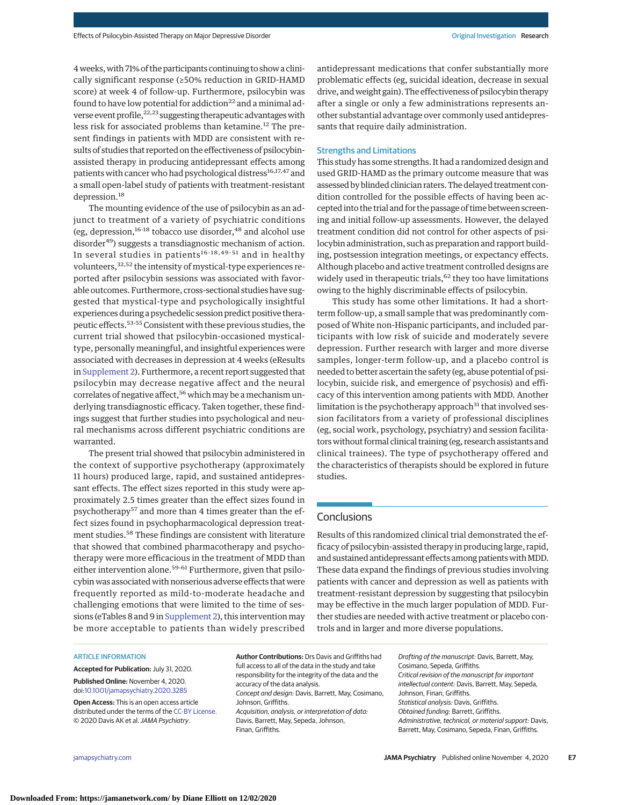4weeks,with 71% of the participants continuing to show a clinically significant response (≥50% reduction in GRID-HAMD score) at week 4 of follow-up. Furthermore, psilocybin was found to have low potential for addiction $22$  and a minimal adverse event profile,  $22,23$  suggesting therapeutic advantages with less risk for associated problems than ketamine.<sup>12</sup> The present findings in patients with MDD are consistent with results of studies that reported on the effectiveness of psilocybinassisted therapy in producing antidepressant effects among patients with cancer who had psychological distress<sup>16,17,47</sup> and a small open-label study of patients with treatment-resistant depression.<sup>18</sup>

The mounting evidence of the use of psilocybin as an adjunct to treatment of a variety of psychiatric conditions (eg, depression, $16-18$  tobacco use disorder, $48$  and alcohol use disorder<sup>49</sup>) suggests a transdiagnostic mechanism of action. In several studies in patients<sup>16-18,49-51</sup> and in healthy volunteers,<sup>32,52</sup> the intensity of mystical-type experiences reported after psilocybin sessions was associated with favorable outcomes. Furthermore, cross-sectional studies have suggested that mystical-type and psychologically insightful experiences during a psychedelic session predict positive therapeutic effects.<sup>53-55</sup> Consistent with these previous studies, the current trial showed that psilocybin-occasioned mysticaltype, personally meaningful, and insightful experiences were associated with decreases in depression at 4 weeks (eResults in [Supplement 2\)](https://jamanetwork.com/journals/jama/fullarticle/10.1001/jamapsychiatry.2020.3285?utm_campaign=articlePDF%26utm_medium=articlePDFlink%26utm_source=articlePDF%26utm_content=jamapsychiatry.2020.3285). Furthermore, a recent report suggested that psilocybin may decrease negative affect and the neural correlates of negative affect,<sup>56</sup> which may be a mechanism underlying transdiagnostic efficacy. Taken together, these findings suggest that further studies into psychological and neural mechanisms across different psychiatric conditions are warranted.

The present trial showed that psilocybin administered in the context of supportive psychotherapy (approximately 11 hours) produced large, rapid, and sustained antidepressant effects. The effect sizes reported in this study were approximately 2.5 times greater than the effect sizes found in psychotherapy<sup>57</sup> and more than 4 times greater than the effect sizes found in psychopharmacological depression treatment studies.<sup>58</sup> These findings are consistent with literature that showed that combined pharmacotherapy and psychotherapy were more efficacious in the treatment of MDD than either intervention alone.<sup>59-61</sup> Furthermore, given that psilocybin was associated with nonserious adverse effects that were frequently reported as mild-to-moderate headache and challenging emotions that were limited to the time of sessions (eTables 8 and 9 in [Supplement 2\)](https://jamanetwork.com/journals/jama/fullarticle/10.1001/jamapsychiatry.2020.3285?utm_campaign=articlePDF%26utm_medium=articlePDFlink%26utm_source=articlePDF%26utm_content=jamapsychiatry.2020.3285), this intervention may be more acceptable to patients than widely prescribed

antidepressant medications that confer substantially more problematic effects (eg, suicidal ideation, decrease in sexual drive, and weight gain). The effectiveness of psilocybin therapy after a single or only a few administrations represents another substantial advantage over commonly used antidepressants that require daily administration.

# Strengths and Limitations

This study has some strengths. It had a randomized design and used GRID-HAMD as the primary outcome measure that was assessed by blinded clinician raters. The delayed treatment condition controlled for the possible effects of having been accepted into the trial and for the passage of time between screening and initial follow-up assessments. However, the delayed treatment condition did not control for other aspects of psilocybin administration, such as preparation and rapport building, postsession integration meetings, or expectancy effects. Although placebo and active treatment controlled designs are widely used in therapeutic trials,<sup>62</sup> they too have limitations owing to the highly discriminable effects of psilocybin.

This study has some other limitations. It had a shortterm follow-up, a small sample that was predominantly composed of White non-Hispanic participants, and included participants with low risk of suicide and moderately severe depression. Further research with larger and more diverse samples, longer-term follow-up, and a placebo control is needed to better ascertain the safety (eg, abuse potential of psilocybin, suicide risk, and emergence of psychosis) and efficacy of this intervention among patients with MDD. Another limitation is the psychotherapy approach $31$  that involved session facilitators from a variety of professional disciplines (eg, social work, psychology, psychiatry) and session facilitators without formal clinical training (eg, research assistants and clinical trainees). The type of psychotherapy offered and the characteristics of therapists should be explored in future studies.

# **Conclusions**

Results of this randomized clinical trial demonstrated the efficacy of psilocybin-assisted therapy in producing large, rapid, and sustained antidepressant effects among patients with MDD. These data expand the findings of previous studies involving patients with cancer and depression as well as patients with treatment-resistant depression by suggesting that psilocybin may be effective in the much larger population of MDD. Further studies are needed with active treatment or placebo controls and in larger and more diverse populations.

#### ARTICLE INFORMATION

**Accepted for Publication:** July 31, 2020. **Published Online:** November 4, 2020. doi[:10.1001/jamapsychiatry.2020.3285](https://jamanetwork.com/journals/jama/fullarticle/10.1001/jamapsychiatry.2020.3285?utm_campaign=articlePDF%26utm_medium=articlePDFlink%26utm_source=articlePDF%26utm_content=jamapsychiatry.2020.3285)

**Open Access:** This is an open access article distributed under the terms of the [CC-BY License.](https://jamanetwork.com/journals/jamapsychiatry/pages/instructions-for-authors?utm_campaign=articlePDF%26utm_medium=articlePDFlink%26utm_source=articlePDF%26utm_content=jamapsychiatry.2020.3285#SecOpenAccess) © 2020 Davis AK et al.JAMA Psychiatry.

**Author Contributions:** Drs Davis and Griffiths had full access to all of the data in the study and take responsibility for the integrity of the data and the accuracy of the data analysis. Concept and design: Davis, Barrett, May, Cosimano, Johnson, Griffiths. Acquisition, analysis, or interpretation of data: Davis, Barrett, May, Sepeda, Johnson, Finan, Griffiths.

Drafting of the manuscript: Davis, Barrett, May, Cosimano, Sepeda, Griffiths. Critical revision of the manuscript for important intellectual content: Davis, Barrett, May, Sepeda, Johnson, Finan, Griffiths. Statistical analysis: Davis, Griffiths. Obtained funding: Barrett, Griffiths. Administrative, technical, or material support: Davis, Barrett, May, Cosimano, Sepeda, Finan, Griffiths.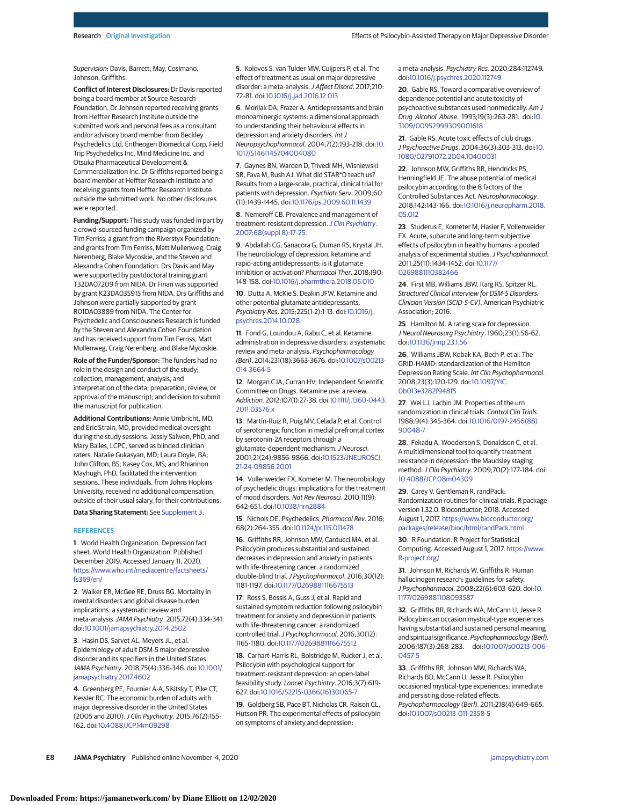Supervision: Davis, Barrett, May, Cosimano, Johnson, Griffiths.

**Conflict of Interest Disclosures:** Dr Davis reported being a board member at Source Research Foundation. Dr Johnson reported receiving grants from Heffter Research Institute outside the submitted work and personal fees as a consultant and/or advisory board member from Beckley Psychedelics Ltd, Entheogen Biomedical Corp, Field Trip Psychedelics Inc, Mind Medicine Inc, and Otsuka Pharmaceutical Development & Commercialization Inc. Dr Griffiths reported being a board member at Heffter Research Institute and receiving grants from Heffter Research Institute outside the submitted work. No other disclosures were reported.

**Funding/Support:** This study was funded in part by a crowd-sourced funding campaign organized by Tim Ferriss; a grant from the Riverstyx Foundation; and grants from Tim Ferriss, Matt Mullenweg, Craig Nerenberg, Blake Mycoskie, and the Steven and Alexandra Cohen Foundation. Drs Davis and May were supported by postdoctoral training grant T32DA07209 from NIDA. Dr Finan was supported by grant K23DA035915 from NIDA. Drs Griffiths and Johnson were partially supported by grant R01DA03889 from NIDA. The Center for Psychedelic and Consciousness Research is funded by the Steven and Alexandra Cohen Foundation and has received support from Tim Ferriss, Matt Mullenweg, Craig Nerenberg, and Blake Mycoskie.

**Role of the Funder/Sponsor:** The funders had no role in the design and conduct of the study; collection, management, analysis, and interpretation of the data; preparation, review, or approval of the manuscript; and decision to submit the manuscript for publication.

**Additional Contributions:** Annie Umbricht, MD, and Eric Strain, MD, provided medical oversight during the study sessions. Jessiy Salwen, PhD, and Mary Bailes, LCPC, served as blinded clinician raters. Natalie Gukasyan, MD; Laura Doyle, BA; John Clifton, BS; Kasey Cox, MS; and Rhiannon Mayhugh, PhD, facilitated the intervention sessions. These individuals, from Johns Hopkins University, received no additional compensation, outside of their usual salary, for their contributions.

**Data Sharing Statement:** See [Supplement 3.](https://jamanetwork.com/journals/jama/fullarticle/10.1001/jamapsychiatry.2020.3285?utm_campaign=articlePDF%26utm_medium=articlePDFlink%26utm_source=articlePDF%26utm_content=jamapsychiatry.2020.3285)

#### **REFERENCES**

**1**. World Health Organization. Depression fact sheet. World Health Organization. Published December 2019. Accessed January 11, 2020. [https://www.who.int/mediacentre/factsheets/](https://www.who.int/mediacentre/factsheets/fs369/en/) [fs369/en/](https://www.who.int/mediacentre/factsheets/fs369/en/)

**2**. Walker ER, McGee RE, Druss BG. Mortality in mental disorders and global disease burden implications: a systematic review and meta-analysis.JAMA Psychiatry. 2015;72(4):334-341. doi[:10.1001/jamapsychiatry.2014.2502](https://jamanetwork.com/journals/jama/fullarticle/10.1001/jamapsychiatry.2014.2502?utm_campaign=articlePDF%26utm_medium=articlePDFlink%26utm_source=articlePDF%26utm_content=jamapsychiatry.2020.3285)

**3**. Hasin DS, Sarvet AL, Meyers JL, et al. Epidemiology of adult DSM-5 major depressive disorder and its specifiers in the United States. JAMA Psychiatry. 2018;75(4):336-346. doi[:10.1001/](https://jamanetwork.com/journals/jama/fullarticle/10.1001/jamapsychiatry.2017.4602?utm_campaign=articlePDF%26utm_medium=articlePDFlink%26utm_source=articlePDF%26utm_content=jamapsychiatry.2020.3285) [jamapsychiatry.2017.4602](https://jamanetwork.com/journals/jama/fullarticle/10.1001/jamapsychiatry.2017.4602?utm_campaign=articlePDF%26utm_medium=articlePDFlink%26utm_source=articlePDF%26utm_content=jamapsychiatry.2020.3285)

**4**. Greenberg PE, Fournier A-A, Sisitsky T, Pike CT, Kessler RC. The economic burden of adults with major depressive disorder in the United States (2005 and 2010).J Clin Psychiatry. 2015;76(2):155- 162. doi[:10.4088/JCP.14m09298](https://dx.doi.org/10.4088/JCP.14m09298)

**5**. Kolovos S, van Tulder MW, Cuijpers P, et al. The effect of treatment as usual on major depressive disorder: a meta-analysis.J Affect Disord. 2017;210: 72-81. doi[:10.1016/j.jad.2016.12.013](https://dx.doi.org/10.1016/j.jad.2016.12.013)

**6**. Morilak DA, Frazer A. Antidepressants and brain monoaminergic systems: a dimensional approach to understanding their behavioural effects in depression and anxiety disorders. Int J Neuropsychopharmacol. 2004;7(2):193-218. doi[:10.](https://dx.doi.org/10.1017/S1461145704004080) [1017/S1461145704004080](https://dx.doi.org/10.1017/S1461145704004080)

**7**. Gaynes BN, Warden D, Trivedi MH, Wisniewski SR, Fava M, Rush AJ. What did STAR\*D teach us? Results from a large-scale, practical, clinical trial for patients with depression. Psychiatr Serv. 2009;60 (11):1439-1445. doi[:10.1176/ps.2009.60.11.1439](https://dx.doi.org/10.1176/ps.2009.60.11.1439)

**8**. Nemeroff CB. Prevalence and management of treatment-resistant depression.[J Clin Psychiatry](https://www.ncbi.nlm.nih.gov/pubmed/17640154). [2007;68\(suppl 8\):17-25.](https://www.ncbi.nlm.nih.gov/pubmed/17640154)

**9**. Abdallah CG, Sanacora G, Duman RS, Krystal JH. The neurobiology of depression, ketamine and rapid-acting antidepressants: is it glutamate inhibition or activation? Pharmacol Ther. 2018;190: 148-158. doi[:10.1016/j.pharmthera.2018.05.010](https://dx.doi.org/10.1016/j.pharmthera.2018.05.010)

**10**. Dutta A, McKie S, Deakin JFW. Ketamine and other potential glutamate antidepressants. Psychiatry Res. 2015;225(1-2):1-13. doi[:10.1016/j.](https://dx.doi.org/10.1016/j.psychres.2014.10.028) [psychres.2014.10.028](https://dx.doi.org/10.1016/j.psychres.2014.10.028)

**11**. Fond G, Loundou A, Rabu C, et al. Ketamine administration in depressive disorders: a systematic review and meta-analysis. Psychopharmacology (Berl). 2014;231(18):3663-3676. doi[:10.1007/s00213-](https://dx.doi.org/10.1007/s00213-014-3664-5) [014-3664-5](https://dx.doi.org/10.1007/s00213-014-3664-5)

**12**. Morgan CJA, Curran HV; Independent Scientific Committee on Drugs. Ketamine use: a review. Addiction. 2012;107(1):27-38. doi[:10.1111/j.1360-0443.](https://dx.doi.org/10.1111/j.1360-0443.2011.03576.x) [2011.03576.x](https://dx.doi.org/10.1111/j.1360-0443.2011.03576.x)

**13**. Martín-Ruiz R, Puig MV, Celada P, et al. Control of serotonergic function in medial prefrontal cortex by serotonin-2A receptors through a glutamate-dependent mechanism.J Neurosci. 2001;21(24):9856-9866. doi[:10.1523/JNEUROSCI.](https://dx.doi.org/10.1523/JNEUROSCI.21-24-09856.2001) [21-24-09856.2001](https://dx.doi.org/10.1523/JNEUROSCI.21-24-09856.2001)

**14**. Vollenweider FX, Kometer M. The neurobiology of psychedelic drugs: implications for the treatment of mood disorders. Nat Rev Neurosci. 2010;11(9): 642-651. doi[:10.1038/nrn2884](https://dx.doi.org/10.1038/nrn2884)

**15**. Nichols DE. Psychedelics. Pharmacol Rev. 2016; 68(2):264-355. doi[:10.1124/pr.115.011478](https://dx.doi.org/10.1124/pr.115.011478)

**16**. Griffiths RR, Johnson MW, Carducci MA, et al. Psilocybin produces substantial and sustained decreases in depression and anxiety in patients with life-threatening cancer: a randomized double-blind trial.J Psychopharmacol. 2016;30(12): 1181-1197. doi[:10.1177/0269881116675513](https://dx.doi.org/10.1177/0269881116675513)

**17**. Ross S, Bossis A, Guss J, et al. Rapid and sustained symptom reduction following psilocybin treatment for anxiety and depression in patients with life-threatening cancer: a randomized controlled trial.J Psychopharmacol. 2016;30(12): 1165-1180. doi[:10.1177/0269881116675512](https://dx.doi.org/10.1177/0269881116675512)

**18**. Carhart-Harris RL, Bolstridge M, Rucker J, et al. Psilocybin with psychological support for treatment-resistant depression: an open-label feasibility study. Lancet Psychiatry. 2016;3(7):619- 627. doi[:10.1016/S2215-0366\(16\)30065-7](https://dx.doi.org/10.1016/S2215-0366(16)30065-7)

**19**. Goldberg SB, Pace BT, Nicholas CR, Raison CL, Hutson PR. The experimental effects of psilocybin on symptoms of anxiety and depression:

a meta-analysis. Psychiatry Res. 2020;284:112749. doi[:10.1016/j.psychres.2020.112749](https://dx.doi.org/10.1016/j.psychres.2020.112749)

**20**. Gable RS. Toward a comparative overview of dependence potential and acute toxicity of psychoactive substances used nonmedically. Am J Drug Alcohol Abuse. 1993;19(3):263-281. doi[:10.](https://dx.doi.org/10.3109/00952999309001618) [3109/00952999309001618](https://dx.doi.org/10.3109/00952999309001618)

**21**. Gable RS. Acute toxic effects of club drugs. J Psychoactive Drugs. 2004;36(3):303-313. doi[:10.](https://dx.doi.org/10.1080/02791072.2004.10400031) [1080/02791072.2004.10400031](https://dx.doi.org/10.1080/02791072.2004.10400031)

**22**. Johnson MW, Griffiths RR, Hendricks PS, Henningfield JE. The abuse potential of medical psilocybin according to the 8 factors of the Controlled Substances Act. Neuropharmacology. 2018;142:143-166. doi[:10.1016/j.neuropharm.2018.](https://dx.doi.org/10.1016/j.neuropharm.2018.05.012) [05.012](https://dx.doi.org/10.1016/j.neuropharm.2018.05.012)

**23**. Studerus E, Kometer M, Hasler F, Vollenweider FX. Acute, subacute and long-term subjective effects of psilocybin in healthy humans: a pooled analysis of experimental studies. J Psychopharmacol. 2011;25(11):1434-1452. doi[:10.1177/](https://dx.doi.org/10.1177/0269881110382466) [0269881110382466](https://dx.doi.org/10.1177/0269881110382466)

**24**. First MB, Williams JBW, Karg RS, Spitzer RL. Structured Clinical Interview for DSM-5 Disorders, Clinician Version (SCID-5-CV). American Psychiatric Association; 2016.

**25**. Hamilton M. A rating scale for depression. J Neurol Neurosurg Psychiatry. 1960;23(1):56-62. doi[:10.1136/jnnp.23.1.56](https://dx.doi.org/10.1136/jnnp.23.1.56)

**26**. Williams JBW, Kobak KA, Bech P, et al. The GRID-HAMD: standardization of the Hamilton Depression Rating Scale. Int Clin Psychopharmacol. 2008;23(3):120-129. doi[:10.1097/YIC.](https://dx.doi.org/10.1097/YIC.0b013e3282f948f5) [0b013e3282f948f5](https://dx.doi.org/10.1097/YIC.0b013e3282f948f5)

**27**. Wei LJ, Lachin JM. Properties of the urn randomization in clinical trials. Control Clin Trials. 1988;9(4):345-364. doi[:10.1016/0197-2456\(88\)](https://dx.doi.org/10.1016/0197-2456(88)90048-7) [90048-7](https://dx.doi.org/10.1016/0197-2456(88)90048-7)

**28**. Fekadu A, Wooderson S, Donaldson C, et al. A multidimensional tool to quantify treatment resistance in depression: the Maudsley staging method.J Clin Psychiatry. 2009;70(2):177-184. doi: [10.4088/JCP.08m04309](https://dx.doi.org/10.4088/JCP.08m04309)

**29**. Carey V, Gentleman R. randPack: Randomization routines for clinical trials. R package version 1.32.0. Bioconductor; 2018. Accessed August 1, 2017. [https://www.bioconductor.org/](https://www.bioconductor.org/packages/release/bioc/html/randPack.html) [packages/release/bioc/html/randPack.html](https://www.bioconductor.org/packages/release/bioc/html/randPack.html)

**30**. R Foundation. R Project for Statistical Computing. Accessed August 1, 2017. [https://www.](https://www.R-project.org/) [R-project.org/](https://www.R-project.org/)

**31**. Johnson M, Richards W, Griffiths R. Human hallucinogen research: guidelines for safety. J Psychopharmacol. 2008;22(6):603-620. doi[:10.](https://dx.doi.org/10.1177/0269881108093587) [1177/0269881108093587](https://dx.doi.org/10.1177/0269881108093587)

**32**. Griffiths RR, Richards WA, McCann U, Jesse R. Psilocybin can occasion mystical-type experiences having substantial and sustained personal meaning and spiritual significance. Psychopharmacology (Berl). 2006;187(3):268-283. doi[:10.1007/s00213-006-](https://dx.doi.org/10.1007/s00213-006-0457-5) [0457-5](https://dx.doi.org/10.1007/s00213-006-0457-5)

**33**. Griffiths RR, Johnson MW, Richards WA, Richards BD, McCann U, Jesse R. Psilocybin occasioned mystical-type experiences: immediate and persisting dose-related effects. Psychopharmacology (Berl). 2011;218(4):649-665. doi[:10.1007/s00213-011-2358-5](https://dx.doi.org/10.1007/s00213-011-2358-5)